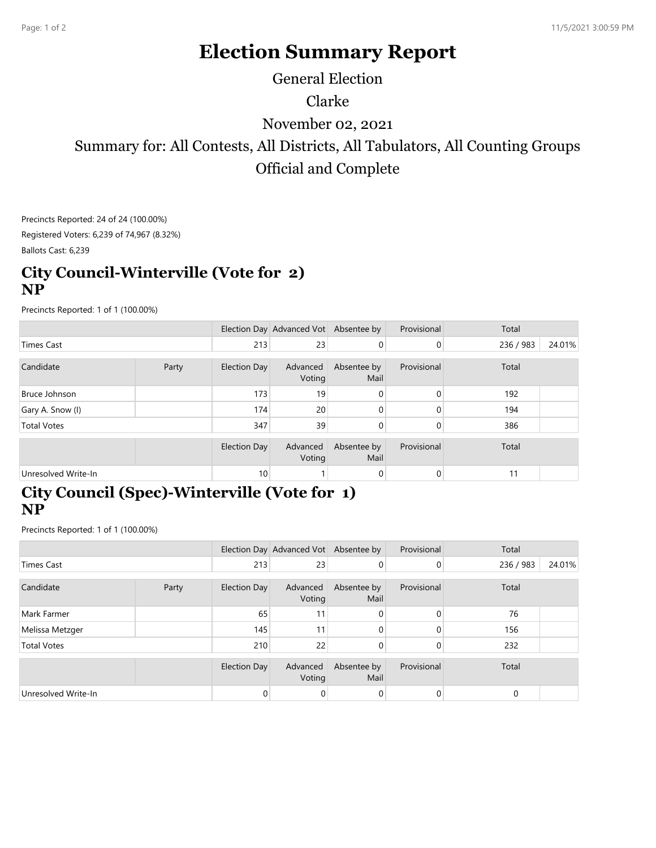## **Election Summary Report**

General Election

Clarke

November 02, 2021

Summary for: All Contests, All Districts, All Tabulators, All Counting Groups Official and Complete

Precincts Reported: 24 of 24 (100.00%) Registered Voters: 6,239 of 74,967 (8.32%)

Ballots Cast: 6,239

## **City Council-Winterville (Vote for 2) NP**

Precincts Reported: 1 of 1 (100.00%)

|                     |       |                 | Election Day Advanced Vot Absentee by |                     | Provisional | Total     |        |  |
|---------------------|-------|-----------------|---------------------------------------|---------------------|-------------|-----------|--------|--|
| <b>Times Cast</b>   |       | 213             | 23                                    | 0                   | 0           | 236 / 983 | 24.01% |  |
| Candidate           | Party | Election Day    | Advanced<br>Voting                    | Absentee by<br>Mail | Provisional | Total     |        |  |
| Bruce Johnson       |       | 173             | 19 <sub>1</sub>                       | 0                   | $\Omega$    | 192       |        |  |
| Gary A. Snow (I)    |       | 174             | 20                                    | 0                   | $\Omega$    | 194       |        |  |
| <b>Total Votes</b>  |       | 347             | 39                                    | 0                   | 0           | 386       |        |  |
|                     |       | Election Day    | Advanced<br>Voting                    | Absentee by<br>Mail | Provisional | Total     |        |  |
| Unresolved Write-In |       | 10 <sub>1</sub> |                                       | 0                   | 0           | 11        |        |  |

## **City Council (Spec)-Winterville (Vote for 1) NP**

Precincts Reported: 1 of 1 (100.00%)

|                     |       |              | Election Day Advanced Vot Absentee by |                     | Provisional    | Total     |        |  |
|---------------------|-------|--------------|---------------------------------------|---------------------|----------------|-----------|--------|--|
| <b>Times Cast</b>   |       | 213          | 23                                    | $\overline{0}$      | 0              | 236 / 983 | 24.01% |  |
| Candidate           | Party | Election Day | Advanced<br>Voting                    | Absentee by<br>Mail | Provisional    | Total     |        |  |
| Mark Farmer         |       | 65           | 11                                    | 0                   | 0              | 76        |        |  |
| Melissa Metzger     |       | 145          | 11                                    | 0                   | $\Omega$       | 156       |        |  |
| <b>Total Votes</b>  |       | 210          | 22                                    | 0                   | 0              | 232       |        |  |
|                     |       | Election Day | Advanced<br>Voting                    | Absentee by<br>Mail | Provisional    | Total     |        |  |
| Unresolved Write-In |       | 0            | 0                                     | 0                   | $\overline{0}$ | 0         |        |  |